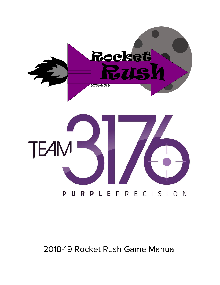

# 2018-19 Rocket Rush Game Manual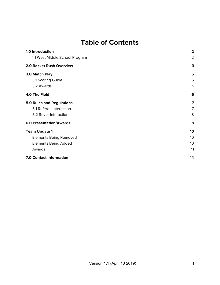### **Table of Contents**

| 1.0 Introduction                 | $\overline{\mathbf{2}}$ |
|----------------------------------|-------------------------|
| 1.1 West Middle School Program   | 2                       |
| 2.0 Rocket Rush Overview         | 3                       |
| 3.0 Match Play                   | 5                       |
| 3.1 Scoring Guide                | 5                       |
| 3.2 Awards                       | 5                       |
| 4.0 The Field                    | 6                       |
| <b>5.0 Rules and Regulations</b> | 7                       |
| 5.1 Referee Interaction          | 7                       |
| 5.2 Rover Interaction            | 8                       |
| <b>6.0 Presentation/Awards</b>   | 9                       |
| <b>Team Update 1</b>             | 10                      |
| <b>Elements Being Removed</b>    | 10                      |
| <b>Elements Being Added</b>      | 10                      |
| Awards                           | 11                      |
| 7.0 Contact Information          | 14                      |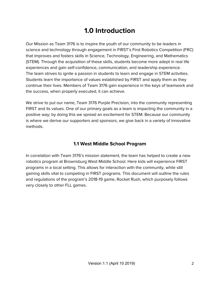## **1.0 Introduction**

<span id="page-2-0"></span>Our Mission as Team 3176 is to inspire the youth of our community to be leaders in science and technology through engagement in FIRST's First Robotics Competition (FRC) that improves and fosters skills in Science, Technology, Engineering, and Mathematics (STEM). Through the acquisition of these skills, students become more adept in real life experiences and gain self-confidence, communication, and leadership experience. The team strives to ignite a passion in students to learn and engage in STEM activities. Students learn the importance of values established by FIRST and apply them as they continue their lives. Members of Team 3176 gain experience in the keys of teamwork and the success, when properly executed, it can achieve.

We strive to put our name, Team 3176 Purple Precision, into the community representing FIRST and its values. One of our primary goals as a team is impacting the community in a positive way; by doing this we spread an excitement for STEM. Because our community is where we derive our supporters and sponsors, we give back in a variety of innovative methods.

### **1.1 West Middle School Program**

<span id="page-2-1"></span>In correlation with Team 3176's mission statement, the team has helped to create a new robotics program at Brownsburg West Middle School. Here kids will experience FIRST programs in a local setting. This allows for interaction with the community, while still gaining skills vital to competing in FIRST programs. This document will outline the rules and regulations of the program's 2018-19 game, Rocket Rush, which purposely follows very closely to other FLL games.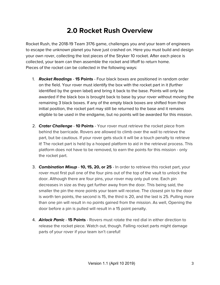### **2.0 Rocket Rush Overview**

<span id="page-3-0"></span>Rocket Rush, the 2018-19 Team 3176 game, challenges you and your team of engineers to escape the unknown planet you have just crashed on. Here you must build and design your own rover, collecting the lost pieces of the Stryker 10 rocket. After each piece is collected, your team can then assemble the rocket and liftoff to return home. Pieces of the rocket can be collected in the following ways:

- 1. **Rocket Readings 15 Points** Four black boxes are positioned in random order on the field. Your rover must identify the box with the rocket part in it (further identified by the green label) and bring it back to the base. Points will only be awarded if the black box is brought back to base by your rover without moving the remaining 3 black boxes. If any of the empty black boxes are shifted from their initial position, the rocket part may still be returned to the base and it remains eligible to be used in the endgame, but no points will be awarded for this mission.
- 2. **Crater Challenge 10 Points** Your rover must retrieve the rocket piece from behind the barricade. Rovers are allowed to climb over the wall to retrieve the part, but be cautious. If your rover gets stuck it will be a touch penalty to retrieve it! The rocket part is held by a hooped platform to aid in the retrieval process. This platform does not have to be removed, to earn the points for this mission - only the rocket part.
- 3. **Combination Mixup 10, 15, 20, or 25** In order to retrieve this rocket part, your rover must first pull one of the four pins out of the top of the vault to unlock the door. Although there are four pins, your rover may only pull one. Each pin decreases in size as they get further away from the door. This being said, the smaller the pin the more points your team will receive. The closest pin to the door is worth ten points, the second is 15, the third is 20, and the last is 25. Pulling more than one pin will result in no points gained from the mission. As well, Opening the door before a pin is pulled will result in a 15 point penalty.
- 4. **Airlock Panic 15 Points** Rovers must rotate the red dial in either direction to release the rocket piece. Watch out, though. Falling rocket parts might damage parts of your rover if your team isn't careful!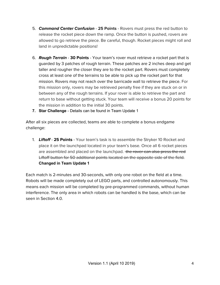- 5. **Command Center Confusion 25 Points** Rovers must press the red button to release the rocket piece down the ramp. Once the button is pushed, rovers are allowed to go retrieve the piece. Be careful, though. Rocket pieces might roll and land in unpredictable positions!
- 6. **Rough Terrain 30 Points** Your team's rover must retrieve a rocket part that is guarded by 3 patches of rough terrain. These patches are 2 inches deep and get taller and rougher the closer they are to the rocket part. Rovers must completely cross at least one of the terrains to be able to pick up the rocket part for that mission. Rovers may not reach over the barricade wall to retrieve the piece. For this mission only, rovers may be retrieved penalty free if they are stuck on or in between any of the rough terrains. If your rover is able to retrieve the part and return to base without getting stuck. Your team will receive a bonus 20 points for the mission in addition to the initial 30 points.
- **7. Star Challenge** Details can be found in Team Update 1

After all six pieces are collected, teams are able to complete a bonus endgame challenge:

1. **Liftoff** - **25 Points** - Your team's task is to assemble the Stryker 10 Rocket and place it on the launchpad located in your team's base. Once all 6 rocket pieces are assembled and placed on the launchpad. the rover can also press the red Liftoff button for 50 additional points located on the opposite side of the field. **Changed in Team Update 1**

Each match is 2-minutes and 30-seconds, with only one robot on the field at a time. Robots will be made completely out of LEGO parts, and controlled autonomously. This means each mission will be completed by pre-programmed commands, without human interference. The only area in which robots can be handled is the base, which can be seen in Section 4.0.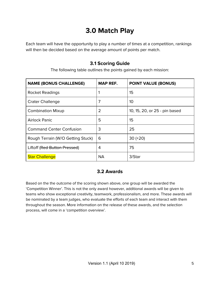## **3.0 Match Play**

<span id="page-5-0"></span>Each team will have the opportunity to play a number of times at a competition, rankings will then be decided based on the average amount of points per match.

#### **3.1 Scoring Guide**

The following table outlines the points gained by each mission:

<span id="page-5-1"></span>

| <b>NAME (BONUS CHALLENGE)</b>     | <b>MAP REF.</b> | <b>POINT VALUE (BONUS)</b>    |
|-----------------------------------|-----------------|-------------------------------|
| <b>Rocket Readings</b>            |                 | 15                            |
| <b>Crater Challenge</b>           | 7               | 10                            |
| <b>Combination Mixup</b>          | $\overline{2}$  | 10, 15, 20, or 25 - pin based |
| <b>Airlock Panic</b>              | 5               | 15                            |
| <b>Command Center Confusion</b>   | 3               | 25                            |
| Rough Terrain (W/O Getting Stuck) | 6               | $30 (+20)$                    |
| Liftoff (Red Button Pressed)      | 4               | 75                            |
| <b>Star Challenge</b>             | <b>NA</b>       | 3/Star                        |

### **3.2 Awards**

<span id="page-5-2"></span>Based on the the outcome of the scoring shown above, one group will be awarded the 'Competition Winner'. This is not the only award however, additional awards will be given to teams who show exceptional creativity, teamwork, professionalism, and more. These awards will be nominated by a team judges, who evaluate the efforts of each team and interact with them throughout the season. More information on the release of these awards, and the selection process, will come in a 'competition overview'.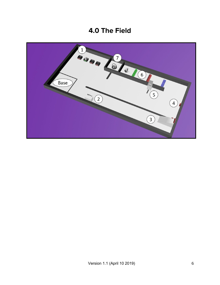### **4.0 The Field**

<span id="page-6-0"></span>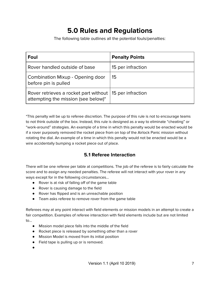## **5.0 Rules and Regulations**

The following table outlines all the potential fouls/penalties:

<span id="page-7-0"></span>

| Foul                                                                                             | <b>Penalty Points</b> |
|--------------------------------------------------------------------------------------------------|-----------------------|
| Rover handled outside of base                                                                    | 15 per infraction     |
| Combination Mixup - Opening door<br>before pin is pulled                                         | 15                    |
| Rover retrieves a rocket part without   15 per infraction<br>attempting the mission (see below)* |                       |

\*This penalty will be up to referee discretion. The purpose of this rule is not to encourage teams to not think outside of the box. Instead, this rule is designed as a way to eliminate "cheating" or "work-around" strategies. An example of a time in which this penalty would be enacted would be if a rover purposely removed the rocket piece from on top of the Airlock Panic mission without rotating the dial. An example of a time in which this penalty would not be enacted would be a wire accidentally bumping a rocket piece out of place.

#### **5.1 Referee Interaction**

<span id="page-7-1"></span>There will be one referee per table at competitions. The job of the referee is to fairly calculate the score and to assign any needed penalties. The referee will not interact with your rover in any ways except for in the following circumstances…

- Rover is at risk of falling off of the game table
- Rover is causing damage to the field
- Rover has flipped and is an unreachable position
- Team asks referee to remove rover from the game table

Referees may at any point interact with field elements or mission models in an attempt to create a fair competition. Examples of referee interaction with field elements include but are not limited to…

- Mission model piece falls into the middle of the field
- Rocket piece is released by something other than a rover
- Mission Model is moved from its initial position
- Field tape is pulling up or is removed.
- ●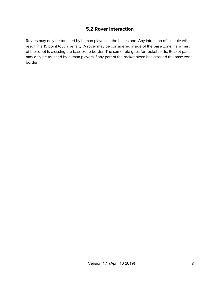#### **5.2 Rover Interaction**

<span id="page-8-0"></span>Rovers may only be touched by human players in the base zone. Any infraction of this rule will result in a 15 point touch penalty. A rover may be considered inside of the base zone if any part of the robot is crossing the base zone border. The same rule goes for rocket parts. Rocket parts may only be touched by human players if any part of the rocket piece has crossed the base zone border.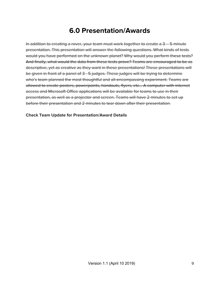### **6.0 Presentation/Awards**

<span id="page-9-0"></span>In addition to creating a rover, your team must work together to create a 3 – 5 minute presentation. This presentation will answer the following questions. What kinds of tests would you have performed on the unknown planet? Why would you perform these tests? And finally, what would the data from these tests prove? Teams are encouraged to be as descriptive, yet as creative as they want in these presentations! These presentations will be given in front of a panel of 3 - 5 judges. These judges will be trying to determine who's team planned the most thoughtful and all-encompassing experiment. Teams are allowed to create posters, powerpoints, handouts, flyers, etc… A computer with internet access and Microsoft Office applications will be available for teams to use in their presentation, as well as a projector and screen. Teams will have 2 minutes to set up before their presentation and 2 minutes to tear down after their presentation.

**Check Team Update for Presentation/Award Details**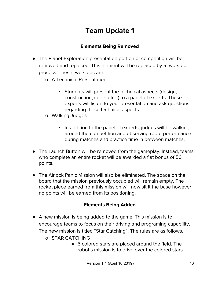## **Team Update 1**

#### **Elements Being Removed**

- <span id="page-10-1"></span><span id="page-10-0"></span>● The Planet Exploration presentation portion of competition will be removed and replaced. This element will be replaced by a two-step process. These two steps are…
	- o A Technical Presentation:
		- Students will present the technical aspects (design, construction, code, etc…) to a panel of experts. These experts will listen to your presentation and ask questions regarding these technical aspects.
	- o Walking Judges
		- In addition to the panel of experts, judges will be walking around the competition and observing robot performance during matches and practice time in between matches.
- The Launch Button will be removed from the gameplay. Instead, teams who complete an entire rocket will be awarded a flat bonus of 50 points.
- The Airlock Panic Mission will also be eliminated. The space on the board that the mission previously occupied will remain empty. The rocket piece earned from this mission will now sit it the base however no points will be earned from its positioning.

#### **Elements Being Added**

- <span id="page-10-2"></span>● A new mission is being added to the game. This mission is to encourage teams to focus on their driving and programing capability. The new mission is titled "Star Catching". The rules are as follows.
	- o STAR CATCHING
		- 5 colored stars are placed around the field. The robot's mission is to drive over the colored stars.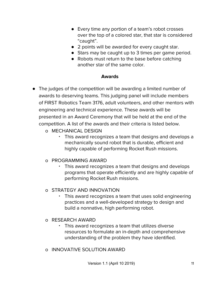- Every time any portion of a team's robot crosses over the top of a colored star, that star is considered "caught".
- 2 points will be awarded for every caught star.
- Stars may be caught up to 3 times per game period.
- Robots must return to the base before catching another star of the same color.

#### **Awards**

- <span id="page-11-0"></span>● The judges of the competition will be awarding a limited number of awards to deserving teams. This judging panel will include members of FIRST Robotics Team 3176, adult volunteers, and other mentors with engineering and technical experience. These awards will be presented in an Award Ceremony that will be held at the end of the competition. A list of the awards and their criteria is listed below.
	- o MECHANICAL DESIGN
		- This award recognizes a team that designs and develops a mechanically sound robot that is durable, efficient and highly capable of performing Rocket Rush missions.

### o PROGRAMMING AWARD

▪ This award recognizes a team that designs and develops programs that operate efficiently and are highly capable of performing Rocket Rush missions.

### o STRATEGY AND INNOVATION

▪ This award recognizes a team that uses solid engineering practices and a well-developed strategy to design and build a nonnative, high performing robot.

#### o RESEARCH AWARD

- This award recognizes a team that utilizes diverse resources to formulate an in-depth and comprehensive understanding of the problem they have identified.
- o INNOVATIVE SOLUTION AWARD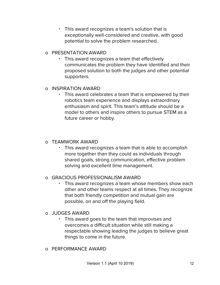▪ This award recognizes a team's solution that is exceptionally well-considered and creative, with good potential to solve the problem researched.

#### o PRESENTATION AWARD

▪ This award recognizes a team that effectively communicates the problem they have identified and their proposed solution to both the judges and other potential supporters.

#### o INSPIRATION AWARD

This award celebrates a team that is empowered by their robotics team experience and displays extraordinary enthusiasm and spirit. This team's attitude should be a model to others and inspire others to pursue STEM as a future career or hobby.

#### o TEAMWORK AWARD

This award recognizes a team that is able to accomplish more together than they could as individuals through shared goals, strong communication, effective problem solving and excellent time management.

### o GRACIOUS PROFESSIONALISM AWARD

▪ This award recognizes a team whose members show each other and other teams respect at all times. They recognize that both friendly competition and mutual gain are possible, on and off the playing field.

#### o JUDGES AWARD

- This award goes to the team that improvises and overcomes a difficult situation while still making a respectable showing leading the judges to believe great things to come in the future.
- o PERFORMANCE AWARD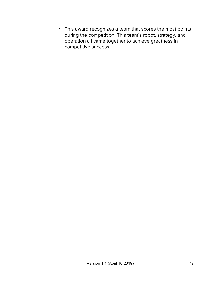▪ This award recognizes a team that scores the most points during the competition. This team's robot, strategy, and operation all came together to achieve greatness in competitive success.